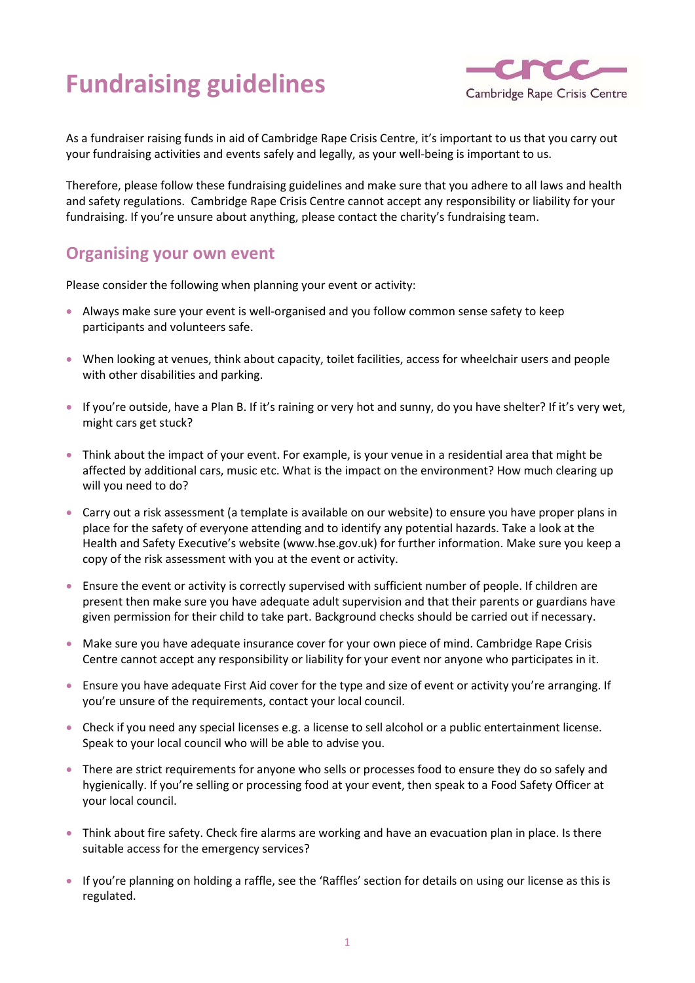# Fundraising guidelines



As a fundraiser raising funds in aid of Cambridge Rape Crisis Centre, it's important to us that you carry out your fundraising activities and events safely and legally, as your well-being is important to us.

Therefore, please follow these fundraising guidelines and make sure that you adhere to all laws and health and safety regulations. Cambridge Rape Crisis Centre cannot accept any responsibility or liability for your fundraising. If you're unsure about anything, please contact the charity's fundraising team.

#### Organising your own event

Please consider the following when planning your event or activity:

- Always make sure your event is well-organised and you follow common sense safety to keep participants and volunteers safe.
- When looking at venues, think about capacity, toilet facilities, access for wheelchair users and people with other disabilities and parking.
- If you're outside, have a Plan B. If it's raining or very hot and sunny, do you have shelter? If it's very wet, might cars get stuck?
- Think about the impact of your event. For example, is your venue in a residential area that might be affected by additional cars, music etc. What is the impact on the environment? How much clearing up will you need to do?
- Carry out a risk assessment (a template is available on our website) to ensure you have proper plans in place for the safety of everyone attending and to identify any potential hazards. Take a look at the Health and Safety Executive's website (www.hse.gov.uk) for further information. Make sure you keep a copy of the risk assessment with you at the event or activity.
- Ensure the event or activity is correctly supervised with sufficient number of people. If children are present then make sure you have adequate adult supervision and that their parents or guardians have given permission for their child to take part. Background checks should be carried out if necessary.
- Make sure you have adequate insurance cover for your own piece of mind. Cambridge Rape Crisis Centre cannot accept any responsibility or liability for your event nor anyone who participates in it.
- Ensure you have adequate First Aid cover for the type and size of event or activity you're arranging. If you're unsure of the requirements, contact your local council.
- Check if you need any special licenses e.g. a license to sell alcohol or a public entertainment license. Speak to your local council who will be able to advise you.
- There are strict requirements for anyone who sells or processes food to ensure they do so safely and hygienically. If you're selling or processing food at your event, then speak to a Food Safety Officer at your local council.
- Think about fire safety. Check fire alarms are working and have an evacuation plan in place. Is there suitable access for the emergency services?
- If you're planning on holding a raffle, see the 'Raffles' section for details on using our license as this is regulated.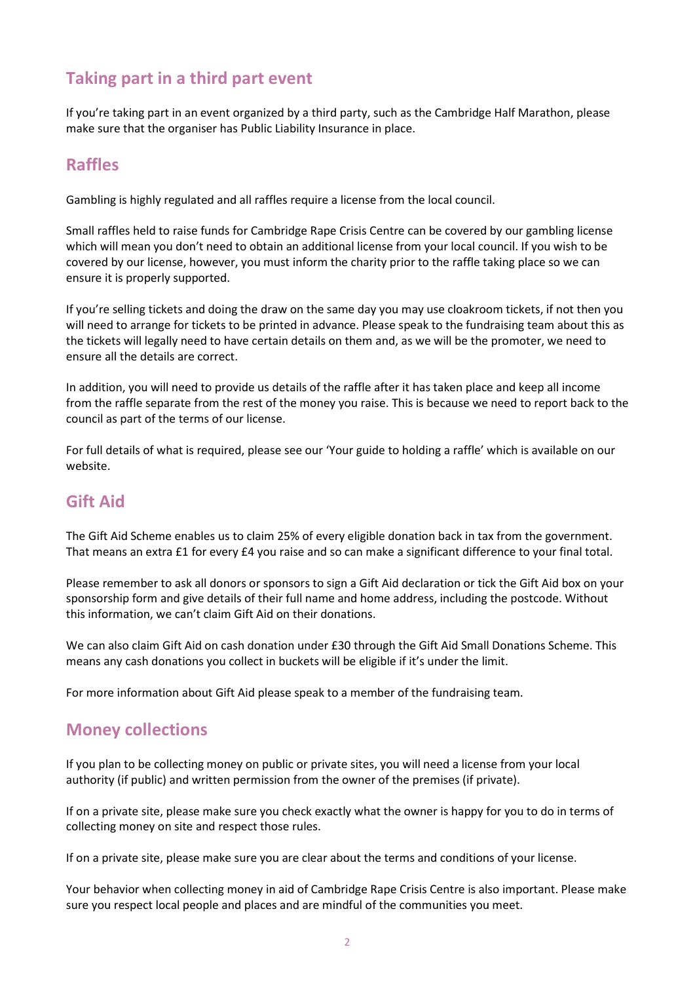## Taking part in a third part event

If you're taking part in an event organized by a third party, such as the Cambridge Half Marathon, please make sure that the organiser has Public Liability Insurance in place.

## Raffles

Gambling is highly regulated and all raffles require a license from the local council.

Small raffles held to raise funds for Cambridge Rape Crisis Centre can be covered by our gambling license which will mean you don't need to obtain an additional license from your local council. If you wish to be covered by our license, however, you must inform the charity prior to the raffle taking place so we can ensure it is properly supported.

If you're selling tickets and doing the draw on the same day you may use cloakroom tickets, if not then you will need to arrange for tickets to be printed in advance. Please speak to the fundraising team about this as the tickets will legally need to have certain details on them and, as we will be the promoter, we need to ensure all the details are correct.

In addition, you will need to provide us details of the raffle after it has taken place and keep all income from the raffle separate from the rest of the money you raise. This is because we need to report back to the council as part of the terms of our license.

For full details of what is required, please see our 'Your guide to holding a raffle' which is available on our website.

#### Gift Aid

The Gift Aid Scheme enables us to claim 25% of every eligible donation back in tax from the government. That means an extra £1 for every £4 you raise and so can make a significant difference to your final total.

Please remember to ask all donors or sponsors to sign a Gift Aid declaration or tick the Gift Aid box on your sponsorship form and give details of their full name and home address, including the postcode. Without this information, we can't claim Gift Aid on their donations.

We can also claim Gift Aid on cash donation under £30 through the Gift Aid Small Donations Scheme. This means any cash donations you collect in buckets will be eligible if it's under the limit.

For more information about Gift Aid please speak to a member of the fundraising team.

#### Money collections

If you plan to be collecting money on public or private sites, you will need a license from your local authority (if public) and written permission from the owner of the premises (if private).

If on a private site, please make sure you check exactly what the owner is happy for you to do in terms of collecting money on site and respect those rules.

If on a private site, please make sure you are clear about the terms and conditions of your license.

Your behavior when collecting money in aid of Cambridge Rape Crisis Centre is also important. Please make sure you respect local people and places and are mindful of the communities you meet.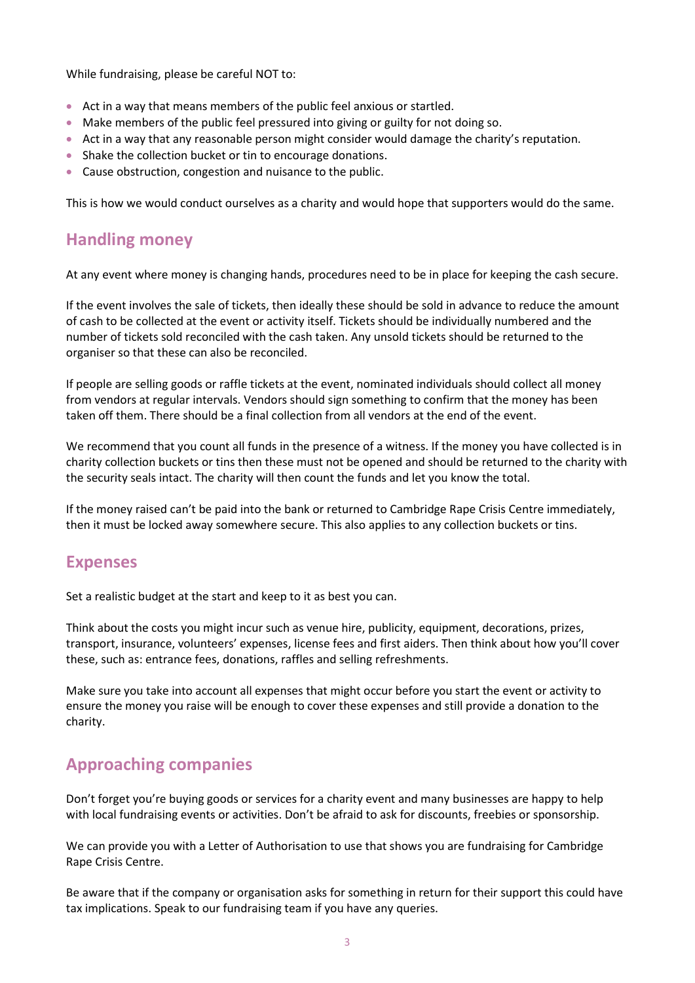While fundraising, please be careful NOT to:

- Act in a way that means members of the public feel anxious or startled.
- Make members of the public feel pressured into giving or guilty for not doing so.
- Act in a way that any reasonable person might consider would damage the charity's reputation.
- Shake the collection bucket or tin to encourage donations.
- Cause obstruction, congestion and nuisance to the public.

This is how we would conduct ourselves as a charity and would hope that supporters would do the same.

## Handling money

At any event where money is changing hands, procedures need to be in place for keeping the cash secure.

If the event involves the sale of tickets, then ideally these should be sold in advance to reduce the amount of cash to be collected at the event or activity itself. Tickets should be individually numbered and the number of tickets sold reconciled with the cash taken. Any unsold tickets should be returned to the organiser so that these can also be reconciled.

If people are selling goods or raffle tickets at the event, nominated individuals should collect all money from vendors at regular intervals. Vendors should sign something to confirm that the money has been taken off them. There should be a final collection from all vendors at the end of the event.

We recommend that you count all funds in the presence of a witness. If the money you have collected is in charity collection buckets or tins then these must not be opened and should be returned to the charity with the security seals intact. The charity will then count the funds and let you know the total.

If the money raised can't be paid into the bank or returned to Cambridge Rape Crisis Centre immediately, then it must be locked away somewhere secure. This also applies to any collection buckets or tins.

#### Expenses

Set a realistic budget at the start and keep to it as best you can.

Think about the costs you might incur such as venue hire, publicity, equipment, decorations, prizes, transport, insurance, volunteers' expenses, license fees and first aiders. Then think about how you'll cover these, such as: entrance fees, donations, raffles and selling refreshments.

Make sure you take into account all expenses that might occur before you start the event or activity to ensure the money you raise will be enough to cover these expenses and still provide a donation to the charity.

## Approaching companies

Don't forget you're buying goods or services for a charity event and many businesses are happy to help with local fundraising events or activities. Don't be afraid to ask for discounts, freebies or sponsorship.

We can provide you with a Letter of Authorisation to use that shows you are fundraising for Cambridge Rape Crisis Centre.

Be aware that if the company or organisation asks for something in return for their support this could have tax implications. Speak to our fundraising team if you have any queries.